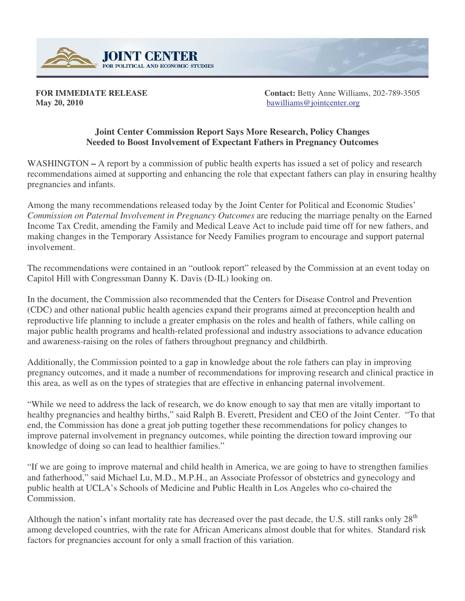

**May 20, 2010** bawilliams@jointcenter.org

**FOR IMMEDIATE RELEASE Contact:** Betty Anne Williams, 202-789-3505

## **Joint Center Commission Report Says More Research, Policy Changes Needed to Boost Involvement of Expectant Fathers in Pregnancy Outcomes**

WASHINGTON – A report by a commission of public health experts has issued a set of policy and research recommendations aimed at supporting and enhancing the role that expectant fathers can play in ensuring healthy pregnancies and infants.

Among the many recommendations released today by the Joint Center for Political and Economic Studies' *Commission on Paternal Involvement in Pregnancy Outcomes* are reducing the marriage penalty on the Earned Income Tax Credit, amending the Family and Medical Leave Act to include paid time off for new fathers, and making changes in the Temporary Assistance for Needy Families program to encourage and support paternal involvement.

The recommendations were contained in an "outlook report" released by the Commission at an event today on Capitol Hill with Congressman Danny K. Davis (D-IL) looking on.

In the document, the Commission also recommended that the Centers for Disease Control and Prevention (CDC) and other national public health agencies expand their programs aimed at preconception health and reproductive life planning to include a greater emphasis on the roles and health of fathers, while calling on major public health programs and health-related professional and industry associations to advance education and awareness-raising on the roles of fathers throughout pregnancy and childbirth.

Additionally, the Commission pointed to a gap in knowledge about the role fathers can play in improving pregnancy outcomes, and it made a number of recommendations for improving research and clinical practice in this area, as well as on the types of strategies that are effective in enhancing paternal involvement.

"While we need to address the lack of research, we do know enough to say that men are vitally important to healthy pregnancies and healthy births," said Ralph B. Everett, President and CEO of the Joint Center. "To that end, the Commission has done a great job putting together these recommendations for policy changes to improve paternal involvement in pregnancy outcomes, while pointing the direction toward improving our knowledge of doing so can lead to healthier families."

"If we are going to improve maternal and child health in America, we are going to have to strengthen families and fatherhood," said Michael Lu, M.D., M.P.H., an Associate Professor of obstetrics and gynecology and public health at UCLA's Schools of Medicine and Public Health in Los Angeles who co-chaired the Commission.

Although the nation's infant mortality rate has decreased over the past decade, the U.S. still ranks only  $28<sup>th</sup>$ among developed countries, with the rate for African Americans almost double that for whites. Standard risk factors for pregnancies account for only a small fraction of this variation.